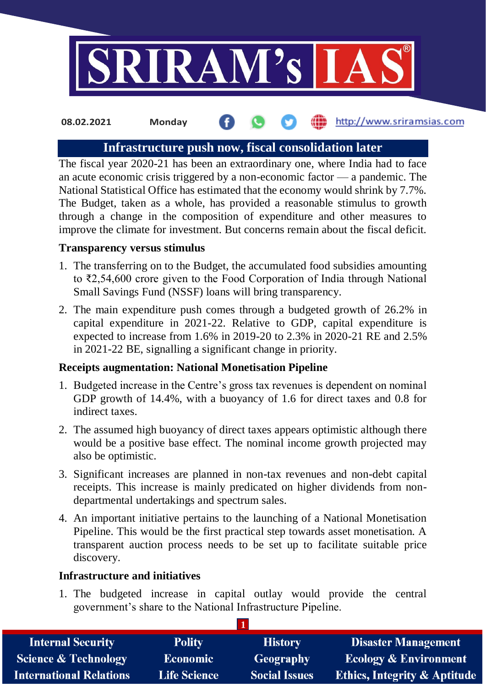

#### http://www.sriramsias.com **08.02.2021 Monday**

# **Infrastructure push now, fiscal consolidation later**

The fiscal year 2020-21 has been an extraordinary one, where India had to face an acute economic crisis triggered by a non-economic factor — a pandemic. The National Statistical Office has estimated that the economy would shrink by 7.7%. The Budget, taken as a whole, has provided a reasonable stimulus to growth through a change in the composition of expenditure and other measures to improve the climate for investment. But concerns remain about the fiscal deficit.

#### **Transparency versus stimulus**

- 1. The transferring on to the Budget, the accumulated food subsidies amounting to ₹2,54,600 crore given to the Food Corporation of India through National Small Savings Fund (NSSF) loans will bring transparency.
- 2. The main expenditure push comes through a budgeted growth of 26.2% in capital expenditure in 2021-22. Relative to GDP, capital expenditure is expected to increase from 1.6% in 2019-20 to 2.3% in 2020-21 RE and 2.5% in 2021-22 BE, signalling a significant change in priority.

### **Receipts augmentation: National Monetisation Pipeline**

- 1. Budgeted increase in the Centre's gross tax revenues is dependent on nominal GDP growth of 14.4%, with a buoyancy of 1.6 for direct taxes and 0.8 for indirect taxes.
- 2. The assumed high buoyancy of direct taxes appears optimistic although there would be a positive base effect. The nominal income growth projected may also be optimistic.
- 3. Significant increases are planned in non-tax revenues and non-debt capital receipts. This increase is mainly predicated on higher dividends from nondepartmental undertakings and spectrum sales.
- 4. An important initiative pertains to the launching of a National Monetisation Pipeline. This would be the first practical step towards asset monetisation. A transparent auction process needs to be set up to facilitate suitable price discovery.

#### **Infrastructure and initiatives**

1. The budgeted increase in capital outlay would provide the central government's share to the National Infrastructure Pipeline.

| <b>Internal Security</b>        | <b>Polity</b>       | <b>History</b>       | <b>Disaster Management</b>              |
|---------------------------------|---------------------|----------------------|-----------------------------------------|
| <b>Science &amp; Technology</b> | <b>Economic</b>     | Geography            | <b>Ecology &amp; Environment</b>        |
| <b>International Relations</b>  | <b>Life Science</b> | <b>Social Issues</b> | <b>Ethics, Integrity &amp; Aptitude</b> |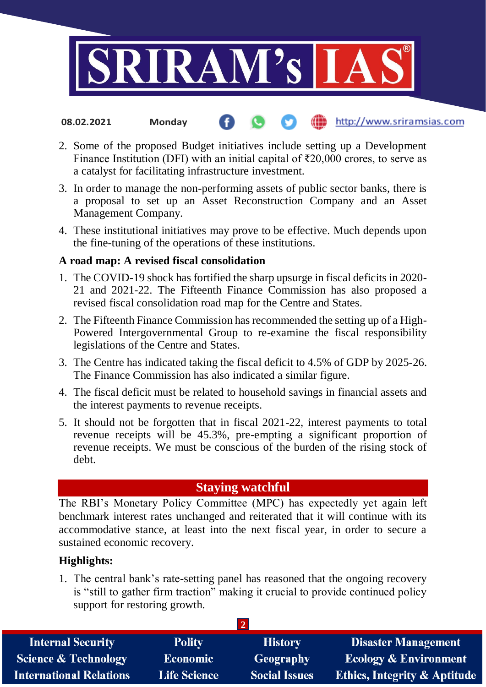

- http://www.sriramsias.com **08.02.2021 Monday**
- 2. Some of the proposed Budget initiatives include setting up a Development Finance Institution (DFI) with an initial capital of  $\text{\textsterling}20,000$  crores, to serve as a catalyst for facilitating infrastructure investment.
- 3. In order to manage the non-performing assets of public sector banks, there is a proposal to set up an Asset Reconstruction Company and an Asset Management Company.
- 4. These institutional initiatives may prove to be effective. Much depends upon the fine-tuning of the operations of these institutions.

# **A road map: A revised fiscal consolidation**

- 1. The COVID-19 shock has fortified the sharp upsurge in fiscal deficits in 2020- 21 and 2021-22. The Fifteenth Finance Commission has also proposed a revised fiscal consolidation road map for the Centre and States.
- 2. The Fifteenth Finance Commission has recommended the setting up of a High-Powered Intergovernmental Group to re-examine the fiscal responsibility legislations of the Centre and States.
- 3. The Centre has indicated taking the fiscal deficit to 4.5% of GDP by 2025-26. The Finance Commission has also indicated a similar figure.
- 4. The fiscal deficit must be related to household savings in financial assets and the interest payments to revenue receipts.
- 5. It should not be forgotten that in fiscal 2021-22, interest payments to total revenue receipts will be 45.3%, pre-empting a significant proportion of revenue receipts. We must be conscious of the burden of the rising stock of debt.

# **Staying watchful**

The RBI's Monetary Policy Committee (MPC) has expectedly yet again left benchmark interest rates unchanged and reiterated that it will continue with its accommodative stance, at least into the next fiscal year, in order to secure a sustained economic recovery.

### **Highlights:**

1. The central bank's rate-setting panel has reasoned that the ongoing recovery is "still to gather firm traction" making it crucial to provide continued policy support for restoring growth.

| <b>Internal Security</b>        | <b>Polity</b>       | <b>History</b>       | <b>Disaster Management</b>              |
|---------------------------------|---------------------|----------------------|-----------------------------------------|
| <b>Science &amp; Technology</b> | <b>Economic</b>     | Geography            | <b>Ecology &amp; Environment</b>        |
| <b>International Relations</b>  | <b>Life Science</b> | <b>Social Issues</b> | <b>Ethics, Integrity &amp; Aptitude</b> |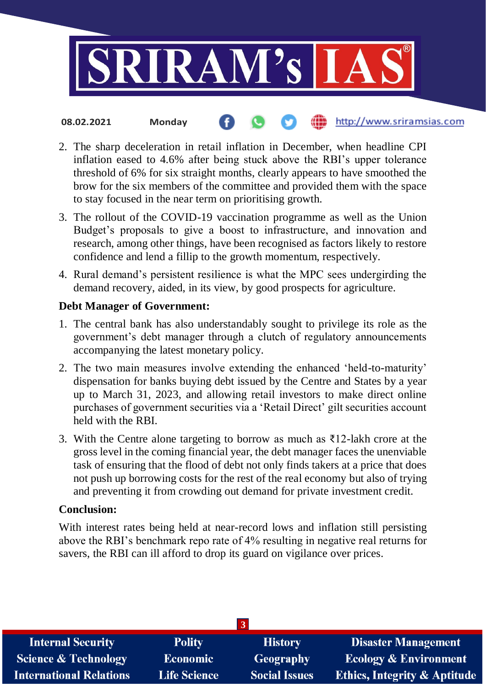

#### http://www.sriramsias.com **08.02.2021 Monday**

- 2. The sharp deceleration in retail inflation in December, when headline CPI inflation eased to 4.6% after being stuck above the RBI's upper tolerance threshold of 6% for six straight months, clearly appears to have smoothed the brow for the six members of the committee and provided them with the space to stay focused in the near term on prioritising growth.
- 3. The rollout of the COVID-19 vaccination programme as well as the Union Budget's proposals to give a boost to infrastructure, and innovation and research, among other things, have been recognised as factors likely to restore confidence and lend a fillip to the growth momentum, respectively.
- 4. Rural demand's persistent resilience is what the MPC sees undergirding the demand recovery, aided, in its view, by good prospects for agriculture.

### **Debt Manager of Government:**

- 1. The central bank has also understandably sought to privilege its role as the government's debt manager through a clutch of regulatory announcements accompanying the latest monetary policy.
- 2. The two main measures involve extending the enhanced 'held-to-maturity' dispensation for banks buying debt issued by the Centre and States by a year up to March 31, 2023, and allowing retail investors to make direct online purchases of government securities via a 'Retail Direct' gilt securities account held with the RBI.
- 3. With the Centre alone targeting to borrow as much as  $\bar{\tau}$ 12-lakh crore at the gross level in the coming financial year, the debt manager faces the unenviable task of ensuring that the flood of debt not only finds takers at a price that does not push up borrowing costs for the rest of the real economy but also of trying and preventing it from crowding out demand for private investment credit.

#### **Conclusion:**

With interest rates being held at near-record lows and inflation still persisting above the RBI's benchmark repo rate of 4% resulting in negative real returns for savers, the RBI can ill afford to drop its guard on vigilance over prices.

| <b>Internal Security</b>        | <b>Polity</b>       | <b>History</b>       | <b>Disaster Management</b>              |
|---------------------------------|---------------------|----------------------|-----------------------------------------|
| <b>Science &amp; Technology</b> | <b>Economic</b>     | Geography            | <b>Ecology &amp; Environment</b>        |
| <b>International Relations</b>  | <b>Life Science</b> | <b>Social Issues</b> | <b>Ethics, Integrity &amp; Aptitude</b> |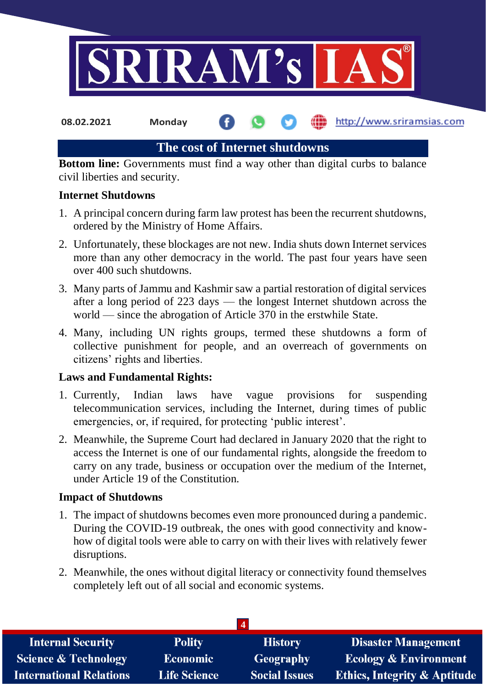

**08.02.2021 Monday**

http://www.sriramsias.com

# **The cost of Internet shutdowns**

**Bottom line:** Governments must find a way other than digital curbs to balance civil liberties and security.

## **Internet Shutdowns**

- 1. A principal concern during farm law protest has been the recurrent shutdowns, ordered by the Ministry of Home Affairs.
- 2. Unfortunately, these blockages are not new. India shuts down Internet services more than any other democracy in the world. The past four years have seen over 400 such shutdowns.
- 3. Many parts of Jammu and Kashmir saw a partial restoration of digital services after a long period of 223 days — the longest Internet shutdown across the world — since the abrogation of Article 370 in the erstwhile State.
- 4. Many, including UN rights groups, termed these shutdowns a form of collective punishment for people, and an overreach of governments on citizens' rights and liberties.

# **Laws and Fundamental Rights:**

- 1. Currently, Indian laws have vague provisions for suspending telecommunication services, including the Internet, during times of public emergencies, or, if required, for protecting 'public interest'.
- 2. Meanwhile, the Supreme Court had declared in January 2020 that the right to access the Internet is one of our fundamental rights, alongside the freedom to carry on any trade, business or occupation over the medium of the Internet, under Article 19 of the Constitution.

# **Impact of Shutdowns**

- 1. The impact of shutdowns becomes even more pronounced during a pandemic. During the COVID-19 outbreak, the ones with good connectivity and knowhow of digital tools were able to carry on with their lives with relatively fewer disruptions.
- 2. Meanwhile, the ones without digital literacy or connectivity found themselves completely left out of all social and economic systems.

| <b>Internal Security</b>        | <b>Polity</b>       | <b>History</b>       | <b>Disaster Management</b>              |
|---------------------------------|---------------------|----------------------|-----------------------------------------|
| <b>Science &amp; Technology</b> | <b>Economic</b>     | Geography            | <b>Ecology &amp; Environment</b>        |
| <b>International Relations</b>  | <b>Life Science</b> | <b>Social Issues</b> | <b>Ethics, Integrity &amp; Aptitude</b> |